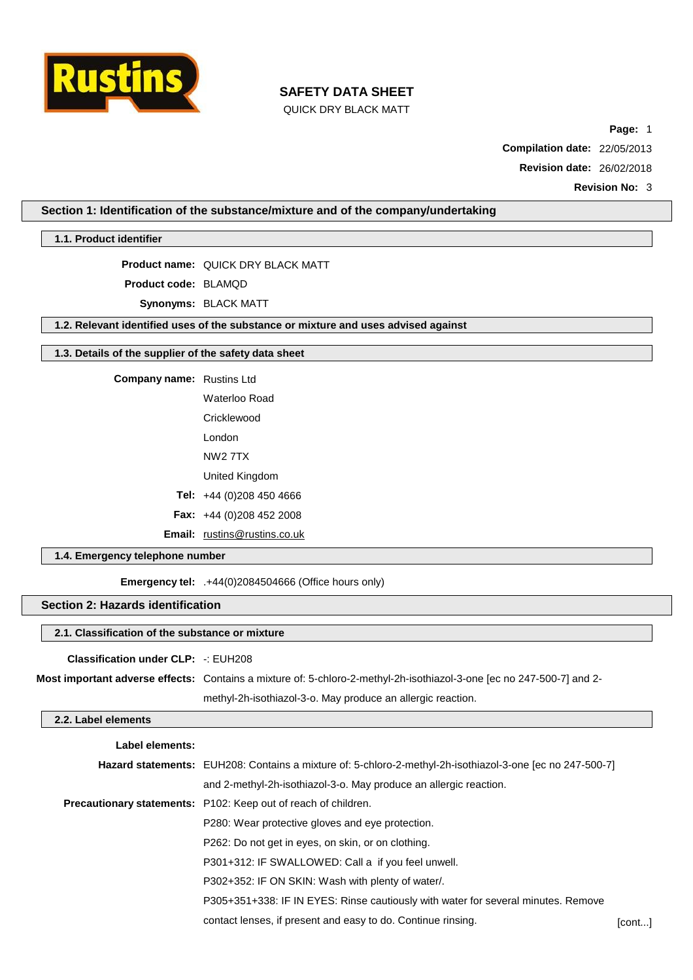

QUICK DRY BLACK MATT

**Page:** 1

**Compilation date:** 22/05/2013

**Revision date:** 26/02/2018

**Revision No:** 3

**Section 1: Identification of the substance/mixture and of the company/undertaking**

**1.1. Product identifier**

**Product name:** QUICK DRY BLACK MATT

**Product code:** BLAMQD

**Synonyms:** BLACK MATT

**1.2. Relevant identified uses of the substance or mixture and uses advised against**

#### **1.3. Details of the supplier of the safety data sheet**

**Company name:** Rustins Ltd

Waterloo Road **Cricklewood** 

London

NW2 7TX

United Kingdom

**Tel:** +44 (0)208 450 4666

**Fax:** +44 (0)208 452 2008

**Email:** [rustins@rustins.co.uk](mailto:rustins@rustins.co.uk)

### **1.4. Emergency telephone number**

**Emergency tel:** .+44(0)2084504666 (Office hours only)

## **Section 2: Hazards identification**

## **2.1. Classification of the substance or mixture**

**Classification under CLP:** -: EUH208

**Most important adverse effects:** Contains a mixture of: 5-chloro-2-methyl-2h-isothiazol-3-one [ec no 247-500-7] and 2 methyl-2h-isothiazol-3-o. May produce an allergic reaction.

### **2.2. Label elements**

| Label elements: |                                                                                                           |        |
|-----------------|-----------------------------------------------------------------------------------------------------------|--------|
|                 | Hazard statements: EUH208: Contains a mixture of: 5-chloro-2-methyl-2h-isothiazol-3-one [ec no 247-500-7] |        |
|                 | and 2-methyl-2h-isothiazol-3-o. May produce an allergic reaction.                                         |        |
|                 | Precautionary statements: P102: Keep out of reach of children.                                            |        |
|                 | P280: Wear protective gloves and eye protection.                                                          |        |
|                 | P262: Do not get in eyes, on skin, or on clothing.                                                        |        |
|                 | P301+312: IF SWALLOWED: Call a if you feel unwell.                                                        |        |
|                 | P302+352: IF ON SKIN: Wash with plenty of water/.                                                         |        |
|                 | P305+351+338: IF IN EYES: Rinse cautiously with water for several minutes. Remove                         |        |
|                 | contact lenses, if present and easy to do. Continue rinsing.                                              | [cont] |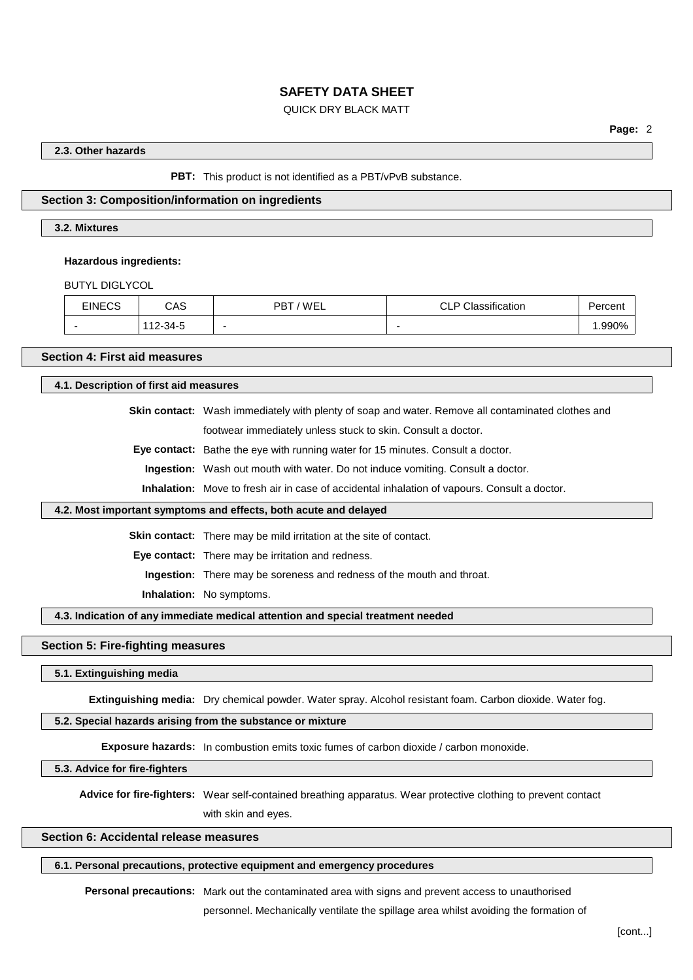### QUICK DRY BLACK MATT

### **2.3. Other hazards**

**PBT:** This product is not identified as a PBT/vPvB substance.

#### **Section 3: Composition/information on ingredients**

#### **3.2. Mixtures**

#### **Hazardous ingredients:**

BUTYL DIGLYCOL

| <b>FINECS</b><br>∟∪⊴ | CAS           | 'WEL<br>דםם<br>D' | ssification<br>$\overline{\phantom{a}}$<br><br>◡└╹ | -<br>rcent |
|----------------------|---------------|-------------------|----------------------------------------------------|------------|
| -                    | -34-5<br>11 O | -                 | $\overline{\phantom{0}}$                           | 1.990%     |

#### **Section 4: First aid measures**

**4.1. Description of first aid measures**

**Skin contact:** Wash immediately with plenty of soap and water. Remove all contaminated clothes and footwear immediately unless stuck to skin. Consult a doctor.

**Eye contact:** Bathe the eye with running water for 15 minutes. Consult a doctor.

**Ingestion:** Wash out mouth with water. Do not induce vomiting. Consult a doctor.

**Inhalation:** Move to fresh air in case of accidental inhalation of vapours. Consult a doctor.

#### **4.2. Most important symptoms and effects, both acute and delayed**

**Skin contact:** There may be mild irritation at the site of contact.

**Eye contact:** There may be irritation and redness.

**Ingestion:** There may be soreness and redness of the mouth and throat.

**Inhalation:** No symptoms.

#### **4.3. Indication of any immediate medical attention and special treatment needed**

### **Section 5: Fire-fighting measures**

**5.1. Extinguishing media**

**Extinguishing media:** Dry chemical powder. Water spray. Alcohol resistant foam. Carbon dioxide. Water fog.

### **5.2. Special hazards arising from the substance or mixture**

**Exposure hazards:** In combustion emits toxic fumes of carbon dioxide / carbon monoxide.

**5.3. Advice for fire-fighters**

**Advice for fire-fighters:** Wear self-contained breathing apparatus. Wear protective clothing to prevent contact

with skin and eyes.

## **Section 6: Accidental release measures**

#### **6.1. Personal precautions, protective equipment and emergency procedures**

**Personal precautions:** Mark out the contaminated area with signs and prevent access to unauthorised

personnel. Mechanically ventilate the spillage area whilst avoiding the formation of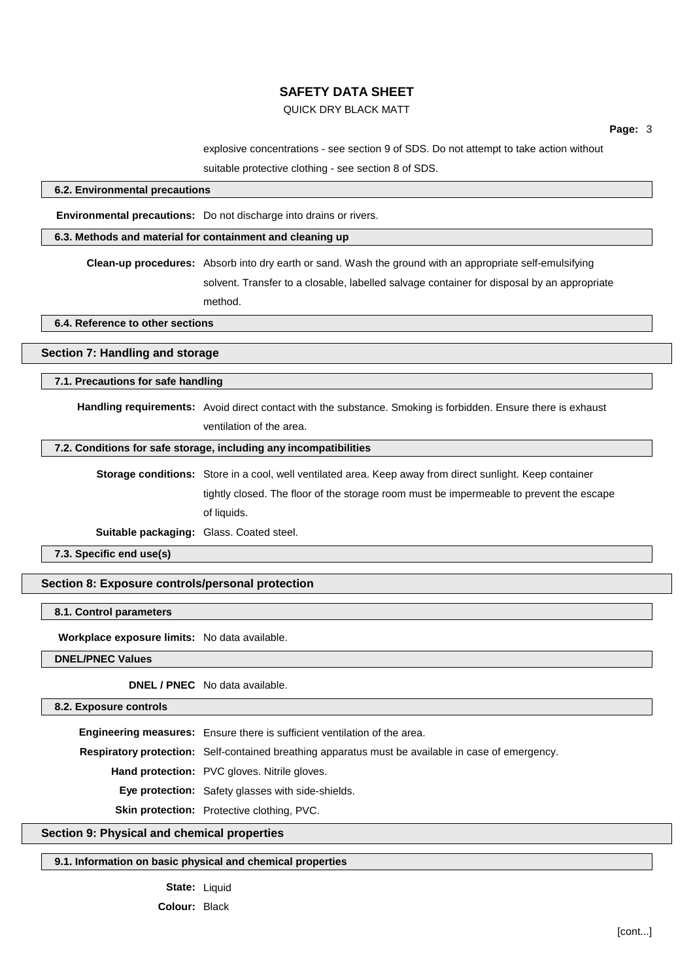## QUICK DRY BLACK MATT

**Page:** 3

explosive concentrations - see section 9 of SDS. Do not attempt to take action without

suitable protective clothing - see section 8 of SDS.

## **6.2. Environmental precautions**

**Environmental precautions:** Do not discharge into drains or rivers.

#### **6.3. Methods and material for containment and cleaning up**

**Clean-up procedures:** Absorb into dry earth or sand. Wash the ground with an appropriate self-emulsifying solvent. Transfer to a closable, labelled salvage container for disposal by an appropriate

method.

**6.4. Reference to other sections**

## **Section 7: Handling and storage**

**7.1. Precautions for safe handling**

**Handling requirements:** Avoid direct contact with the substance. Smoking is forbidden. Ensure there is exhaust ventilation of the area.

#### **7.2. Conditions for safe storage, including any incompatibilities**

**Storage conditions:** Store in a cool, well ventilated area. Keep away from direct sunlight. Keep container tightly closed. The floor of the storage room must be impermeable to prevent the escape of liquids.

**Suitable packaging:** Glass. Coated steel.

**7.3. Specific end use(s)**

**Section 8: Exposure controls/personal protection**

#### **8.1. Control parameters**

**Workplace exposure limits:** No data available.

**DNEL/PNEC Values**

**DNEL / PNEC** No data available.

**8.2. Exposure controls**

**Engineering measures:** Ensure there is sufficient ventilation of the area.

**Respiratory protection:** Self-contained breathing apparatus must be available in case of emergency.

**Hand protection:** PVC gloves. Nitrile gloves.

**Eye protection:** Safety glasses with side-shields.

**Skin protection:** Protective clothing, PVC.

### **Section 9: Physical and chemical properties**

#### **9.1. Information on basic physical and chemical properties**

**State:** Liquid

**Colour:** Black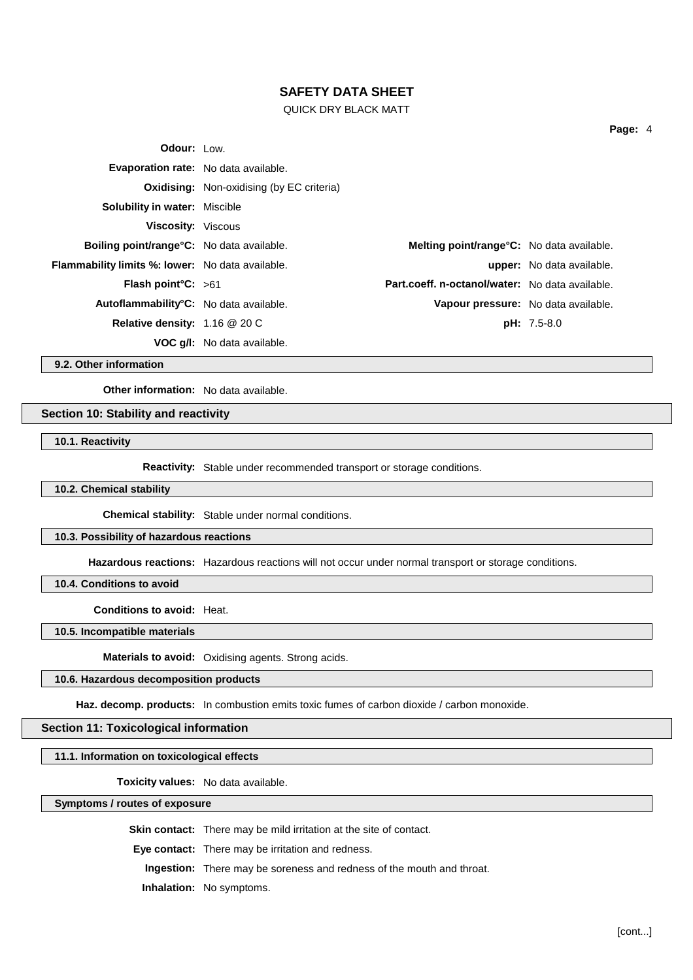### QUICK DRY BLACK MATT

| <b>Odour:</b> Low.                                      |                                                  |                                                 |                                  |
|---------------------------------------------------------|--------------------------------------------------|-------------------------------------------------|----------------------------------|
| Evaporation rate: No data available.                    |                                                  |                                                 |                                  |
|                                                         | <b>Oxidising:</b> Non-oxidising (by EC criteria) |                                                 |                                  |
| <b>Solubility in water: Miscible</b>                    |                                                  |                                                 |                                  |
| <b>Viscosity: Viscous</b>                               |                                                  |                                                 |                                  |
| Boiling point/range°C: No data available.               |                                                  | Melting point/range°C: No data available.       |                                  |
| <b>Flammability limits %: lower:</b> No data available. |                                                  |                                                 | <b>upper:</b> No data available. |
| <b>Flash point C:</b> $>61$                             |                                                  | Part.coeff. n-octanol/water: No data available. |                                  |
| Autoflammability°C: No data available.                  |                                                  | Vapour pressure: No data available.             |                                  |
| <b>Relative density:</b> $1.16 \ @ 20 \text{C}$         |                                                  |                                                 | $pH: 7.5-8.0$                    |
|                                                         | <b>VOC q/I:</b> No data available.               |                                                 |                                  |
|                                                         |                                                  |                                                 |                                  |

**9.2. Other information**

**Other information:** No data available.

## **Section 10: Stability and reactivity**

**10.1. Reactivity**

**Reactivity:** Stable under recommended transport or storage conditions.

#### **10.2. Chemical stability**

**Chemical stability:** Stable under normal conditions.

### **10.3. Possibility of hazardous reactions**

**Hazardous reactions:** Hazardous reactions will not occur under normal transport or storage conditions.

**10.4. Conditions to avoid**

**Conditions to avoid:** Heat.

**10.5. Incompatible materials**

**Materials to avoid:** Oxidising agents. Strong acids.

## **10.6. Hazardous decomposition products**

Haz. decomp. products: In combustion emits toxic fumes of carbon dioxide / carbon monoxide.

#### **Section 11: Toxicological information**

### **11.1. Information on toxicological effects**

**Toxicity values:** No data available.

#### **Symptoms / routes of exposure**

**Skin contact:** There may be mild irritation at the site of contact.

**Eye contact:** There may be irritation and redness.

**Ingestion:** There may be soreness and redness of the mouth and throat.

**Inhalation:** No symptoms.

**Page:** 4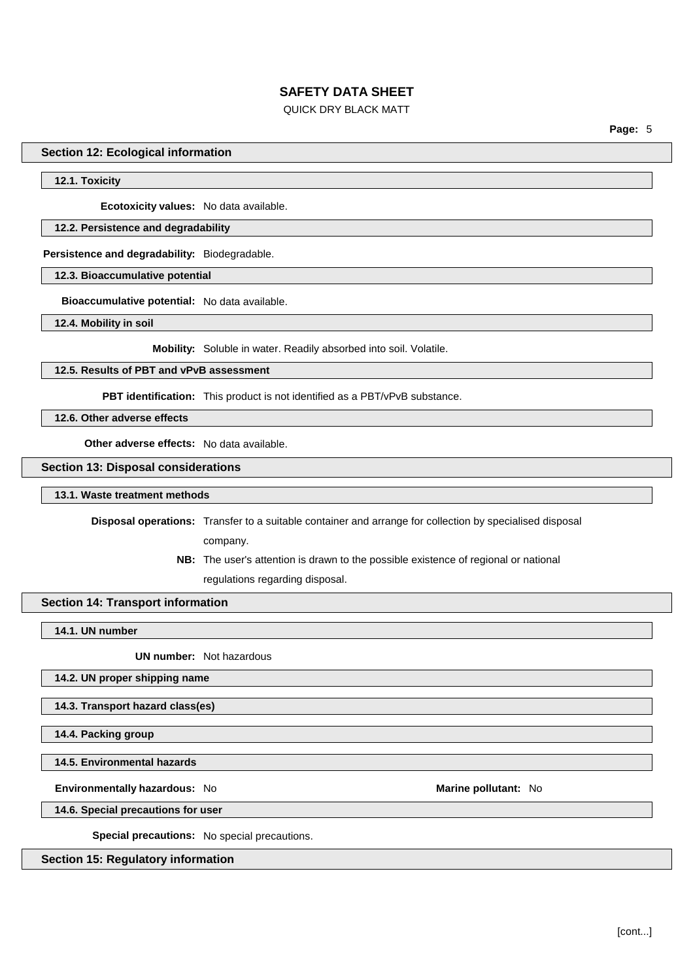## QUICK DRY BLACK MATT

**Page:** 5

#### **Section 12: Ecological information**

#### **12.1. Toxicity**

**Ecotoxicity values:** No data available.

#### **12.2. Persistence and degradability**

**Persistence and degradability:** Biodegradable.

**12.3. Bioaccumulative potential**

**Bioaccumulative potential:** No data available.

**12.4. Mobility in soil**

**Mobility:** Soluble in water. Readily absorbed into soil. Volatile.

#### **12.5. Results of PBT and vPvB assessment**

**PBT identification:** This product is not identified as a PBT/vPvB substance.

**12.6. Other adverse effects**

**Other adverse effects:** No data available.

#### **Section 13: Disposal considerations**

#### **13.1. Waste treatment methods**

**Disposal operations:** Transfer to a suitable container and arrange for collection by specialised disposal

company.

**NB:** The user's attention is drawn to the possible existence of regional or national regulations regarding disposal.

### **Section 14: Transport information**

**14.1. UN number**

**UN number:** Not hazardous

#### **14.2. UN proper shipping name**

**14.3. Transport hazard class(es)**

**14.4. Packing group**

**14.5. Environmental hazards**

**Environmentally hazardous:** No **Marine pollutant:** No

**14.6. Special precautions for user**

**Special precautions:** No special precautions.

**Section 15: Regulatory information**